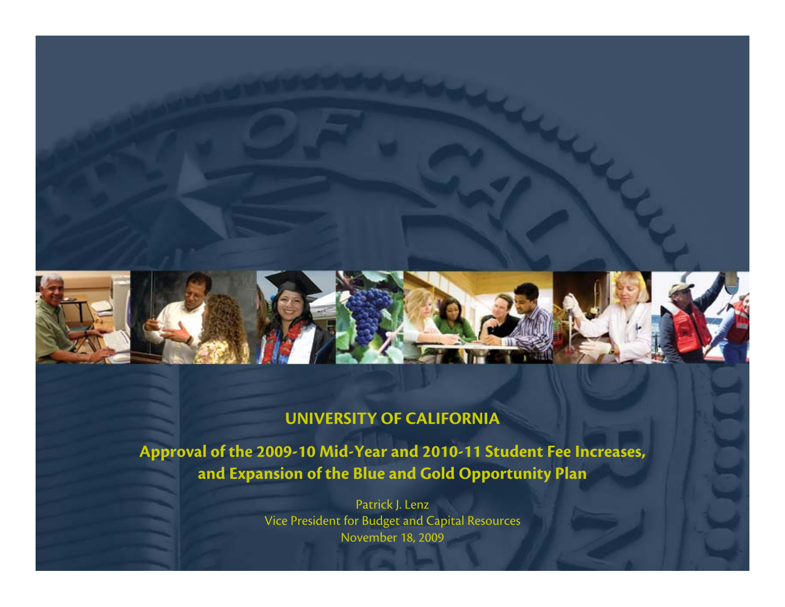

#### **UNIVERSITY OF CALIFORNIA**

**Approval of the 2009-10 Mid-Year and 2010-11 Student Fee Increases, and Expansion of the Blue and Gold Opportunity Plan**

> Patrick J. Lenz Vice President for Budget and Capital Resources November 18, 2009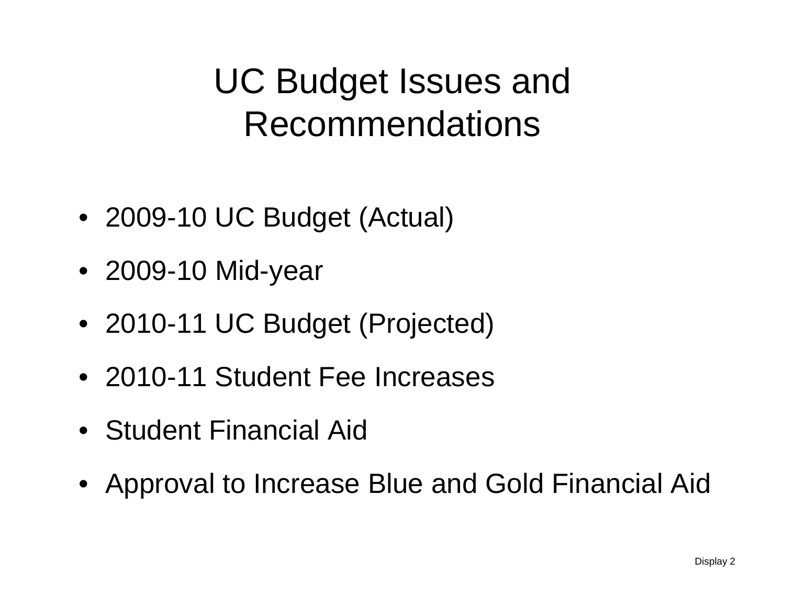## UC Budget Issues and Recommendations

- 2009-10 UC Budget (Actual)
- 2009-10 Mid-year
- 2010-11 UC Budget (Projected)
- 2010-11 Student Fee Increases
- Student Financial Aid
- Approval to Increase Blue and Gold Financial Aid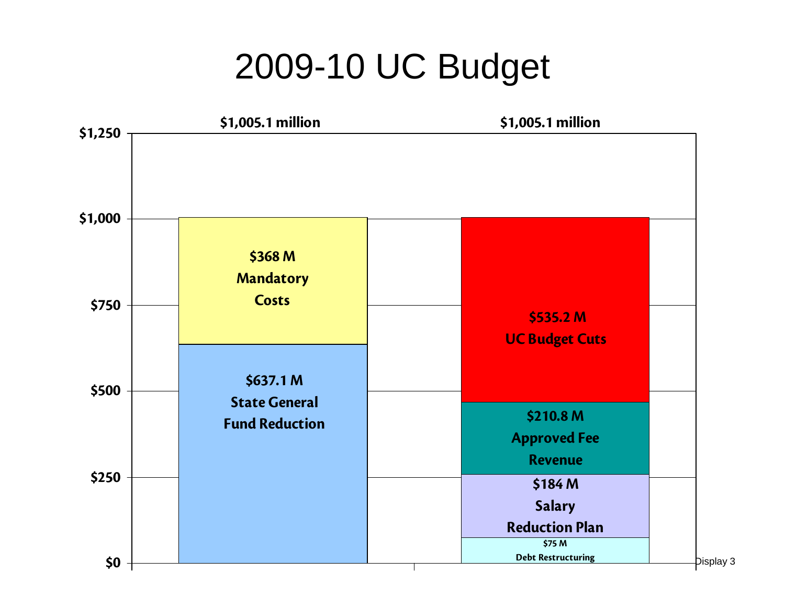#### 2009-10 UC Budget

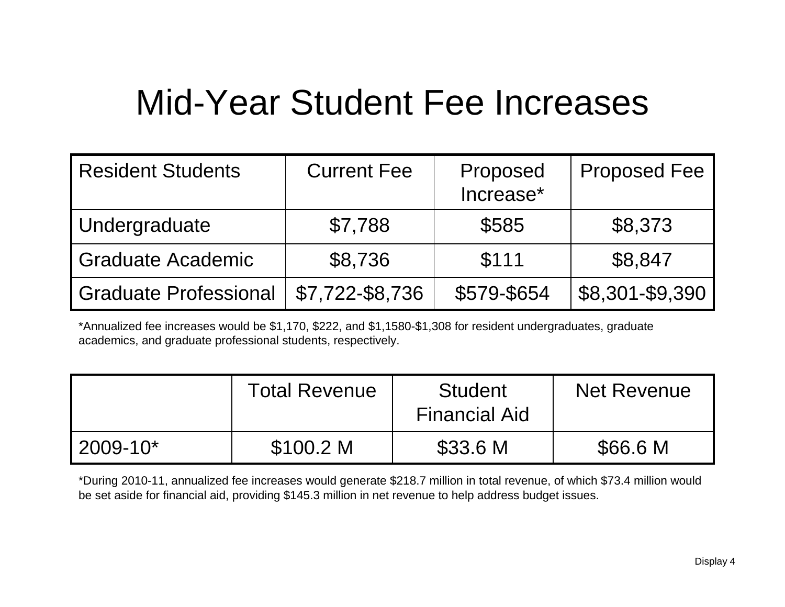#### Mid-Year Student Fee Increases

| Resident Students        | <b>Current Fee</b> | Proposed    | <b>Proposed Fee</b> |
|--------------------------|--------------------|-------------|---------------------|
|                          |                    | Increase*   |                     |
| Undergraduate            | \$7,788            | \$585       | \$8,373             |
| <b>Graduate Academic</b> | \$8,736            | \$111       | \$8,847             |
| Graduate Professional    | \$7,722-\$8,736    | \$579-\$654 | \$8,301-\$9,390     |

\*Annualized fee increases would be \$1,170, \$222, and \$1,1580-\$1,308 for resident undergraduates, graduate academics, and graduate professional students, respectively.

|           | <b>Total Revenue</b> | <b>Student</b><br><b>Financial Aid</b> | Net Revenue |
|-----------|----------------------|----------------------------------------|-------------|
| 12009-10* | \$100.2 M            | \$33.6 M                               | \$66.6 M    |

\*During 2010-11, annualized fee increases would generate \$218.7 million in total revenue, of which \$73.4 million would be set aside for financial aid, providing \$145.3 million in net revenue to help address budget issues.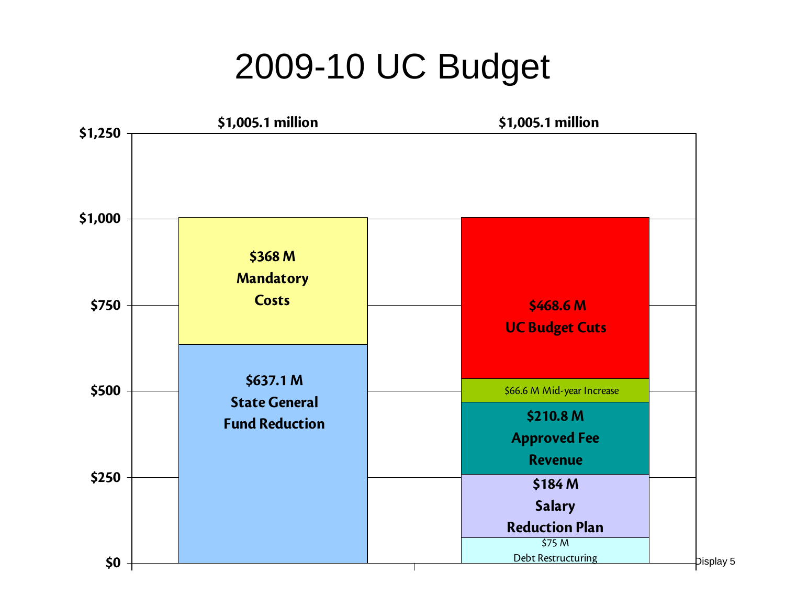#### 2009-10 UC Budget

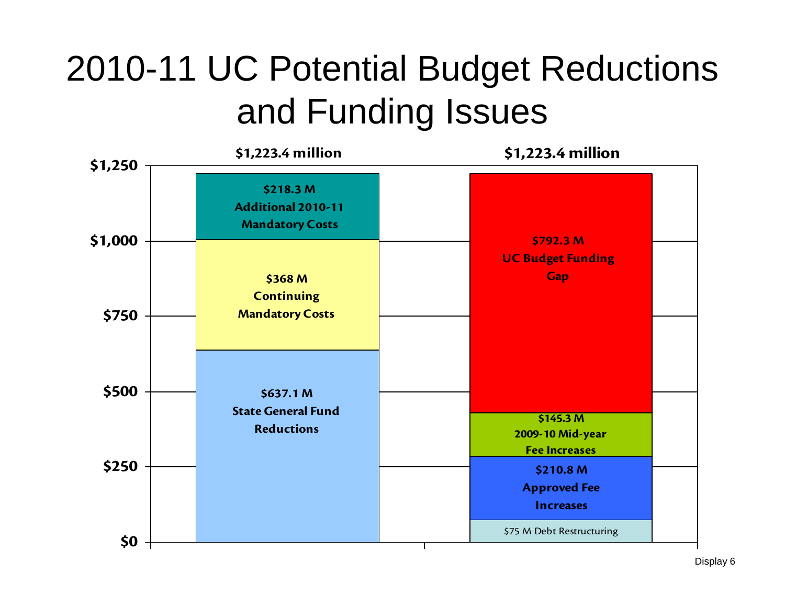## 2010-11 UC Potential Budget Reductions and Funding Issues

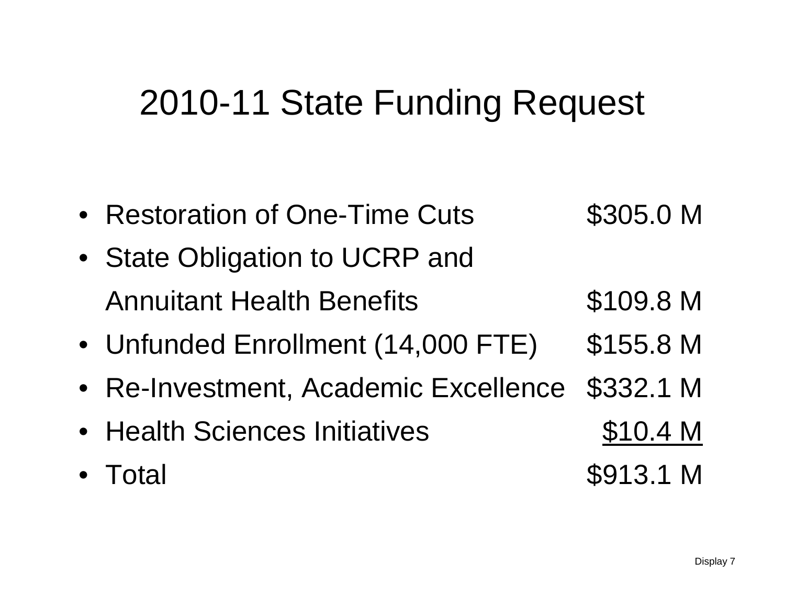#### 2010-11 State Funding Request

- Restoration of One-Time Cuts \$305.0 M • State Obligation to UCRP and
- Annuitant Health Benefits **\$109.8 M**
- Unfunded Enrollment (14,000 FTE) \$155.8 M
- Re-Investment, Academic Excellence \$332.1 M
- Health Sciences Initiatives **\$10.4 M**
- Total
- 
- \$913.1 M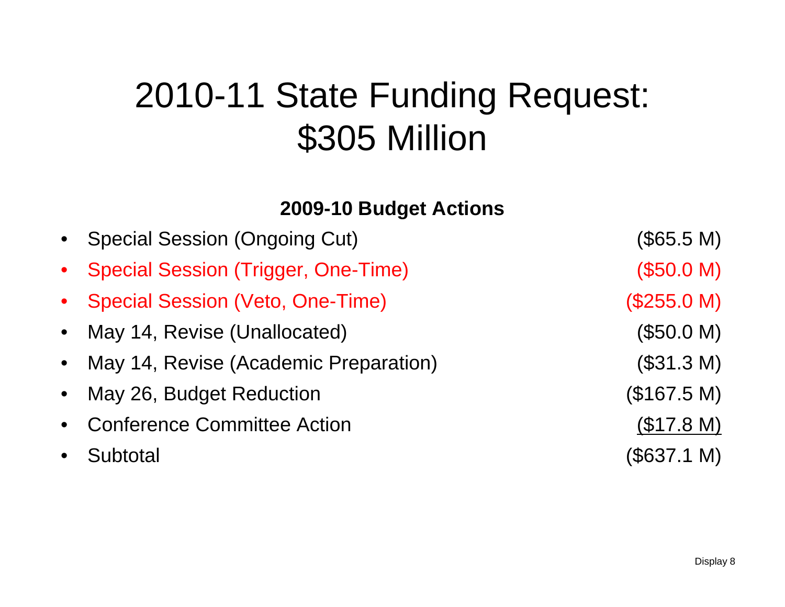### 2010-11 State Funding Request: \$305 Million

#### **2009-10 Budget Actions**

| • Special Session (Ongoing Cut)         | (\$65.5 M)  |
|-----------------------------------------|-------------|
| • Special Session (Trigger, One-Time)   | (\$50.0 M)  |
| • Special Session (Veto, One-Time)      | (\$255.0 M) |
| • May 14, Revise (Unallocated)          | (\$50.0 M)  |
| • May 14, Revise (Academic Preparation) | (\$31.3 M)  |
| • May 26, Budget Reduction              | (\$167.5 M) |
| • Conference Committee Action           | (\$17.8 M)  |
| • Subtotal                              | (\$637.1 M) |
|                                         |             |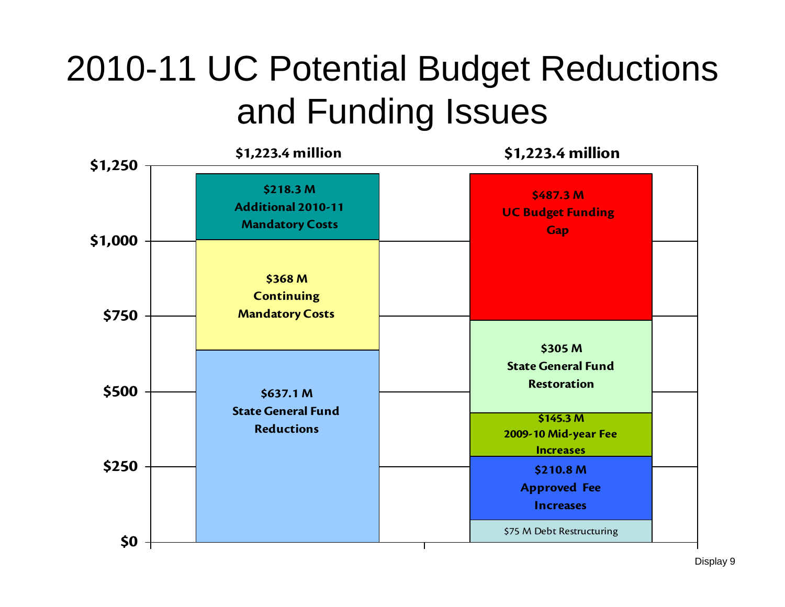## 2010-11 UC Potential Budget Reductions and Funding Issues

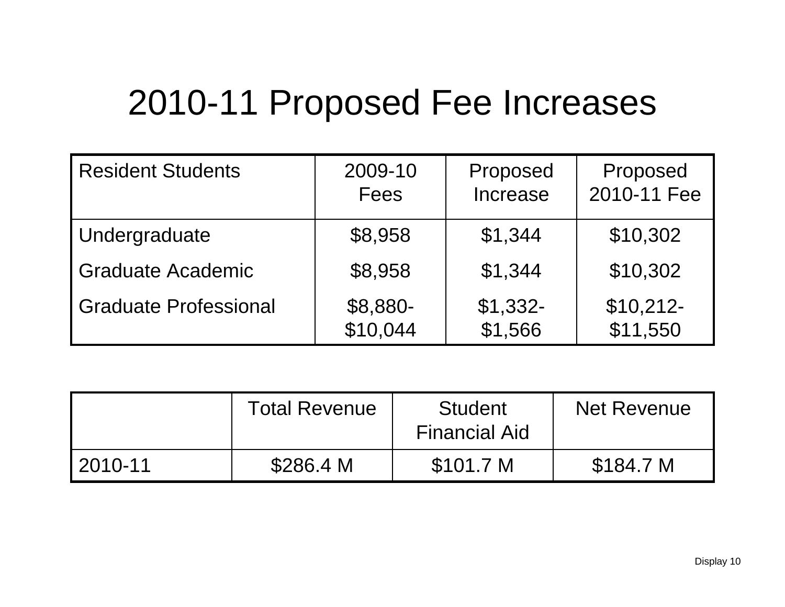#### 2010-11 Proposed Fee Increases

| <b>Resident Students</b> | 2009-10  | Proposed  | Proposed    |
|--------------------------|----------|-----------|-------------|
|                          | Fees     | Increase  | 2010-11 Fee |
| Undergraduate            | \$8,958  | \$1,344   | \$10,302    |
| Graduate Academic        | \$8,958  | \$1,344   | \$10,302    |
| Graduate Professional    | \$8,880- | $$1,332-$ | $$10,212-$  |
|                          | \$10,044 | \$1,566   | \$11,550    |

|         | <b>Total Revenue</b> | Student<br><b>Financial Aid</b> | <b>Net Revenue</b> |
|---------|----------------------|---------------------------------|--------------------|
| 2010-11 | \$286.4 M            | \$101.7 M                       | \$184.7 M          |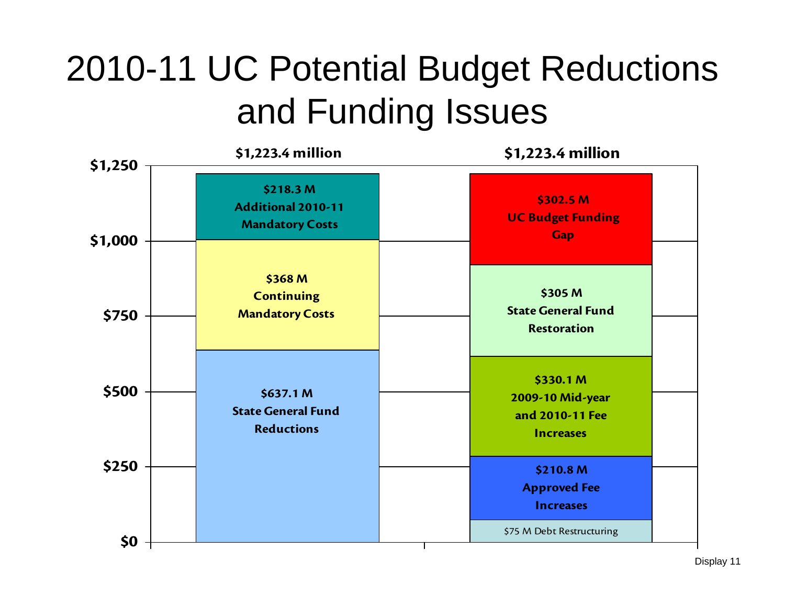## 2010-11 UC Potential Budget Reductions and Funding Issues

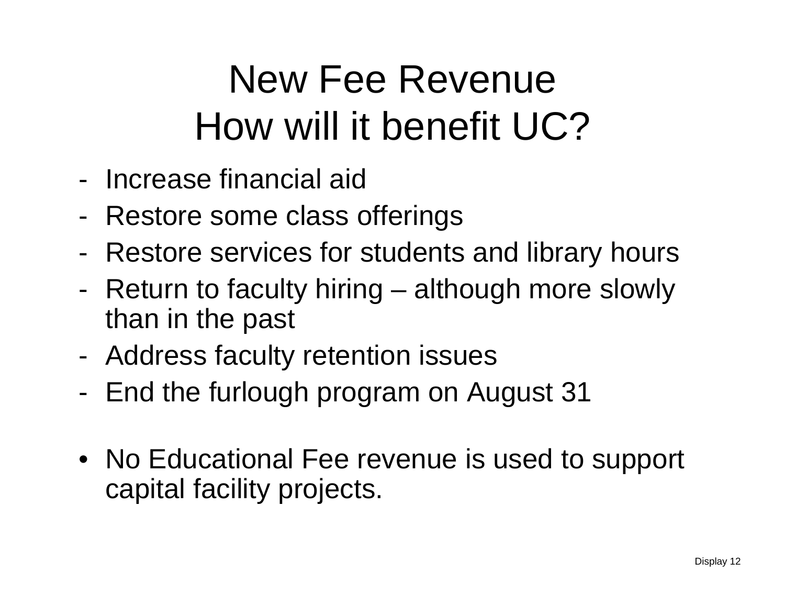# New Fee Revenue How will it benefit UC?

- Increase financial aid
- -Restore some class offerings
- -Restore services for students and library hours
- - Return to faculty hiring – although more slowly than in the past
- -Address faculty retention issues
- -End the furlough program on August 31
- No Educational Fee revenue is used to support capital facility projects.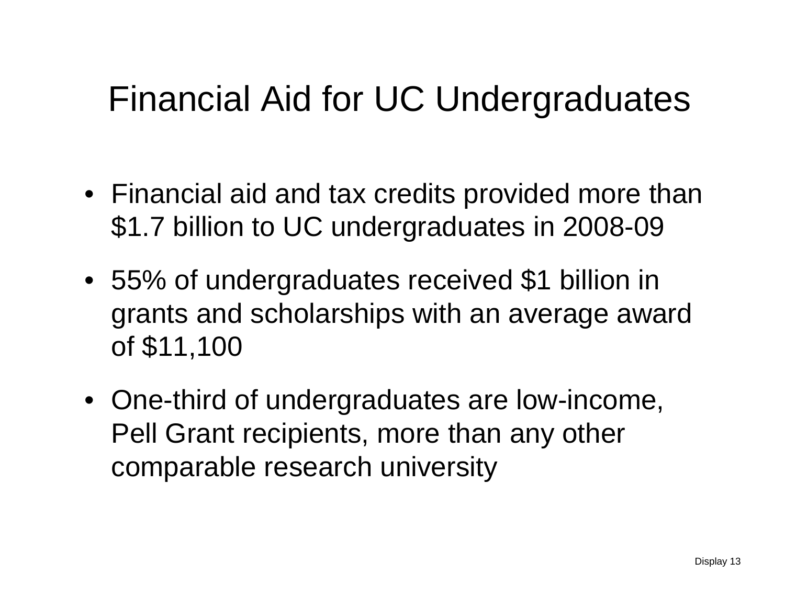#### Financial Aid for UC Undergraduates

- Financial aid and tax credits provided more than \$1.7 billion to UC undergraduates in 2008-09
- 55% of undergraduates received \$1 billion in grants and scholarships with an average award of \$11,100
- One-third of undergraduates are low-income, Pell Grant recipients, more than any other comparable research university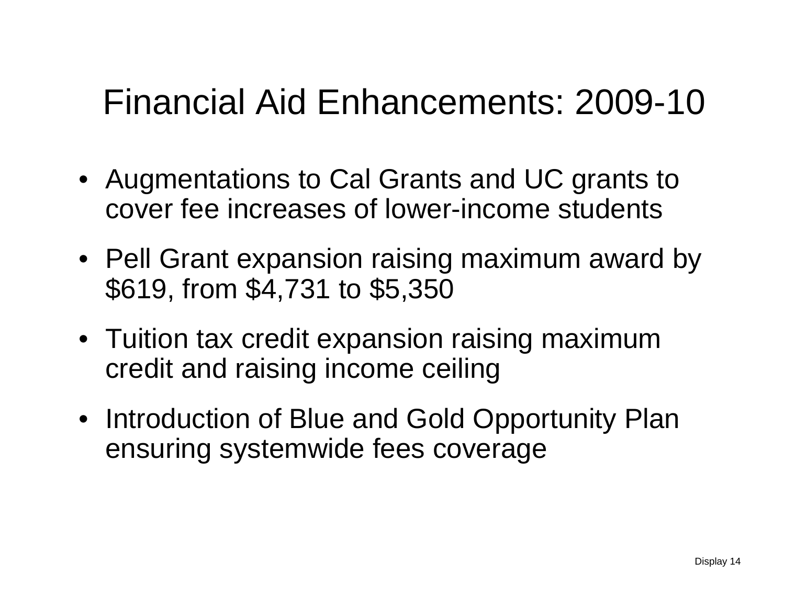#### Financial Aid Enhancements: 2009-10

- Augmentations to Cal Grants and UC grants to cover fee increases of lower-income students
- Pell Grant expansion raising maximum award by \$619, from \$4,731 to \$5,350
- Tuition tax credit expansion raising maximum credit and raising income ceiling
- Introduction of Blue and Gold Opportunity Plan ensuring systemwide fees coverage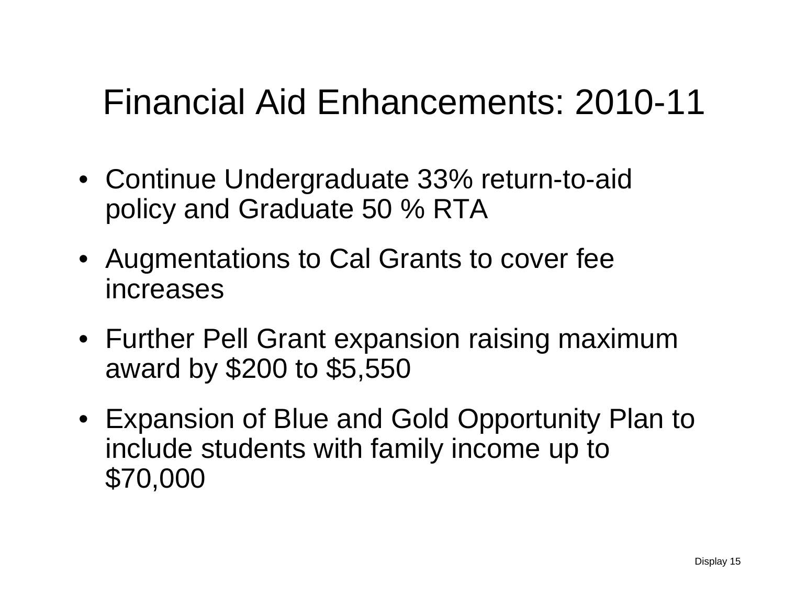#### Financial Aid Enhancements: 2010-11

- Continue Undergraduate 33% return-to-aid policy and Graduate 50 % RTA
- Augmentations to Cal Grants to cover fee increases
- Further Pell Grant expansion raising maximum award by \$200 to \$5,550
- Expansion of Blue and Gold Opportunity Plan to include students with family income up to \$70,000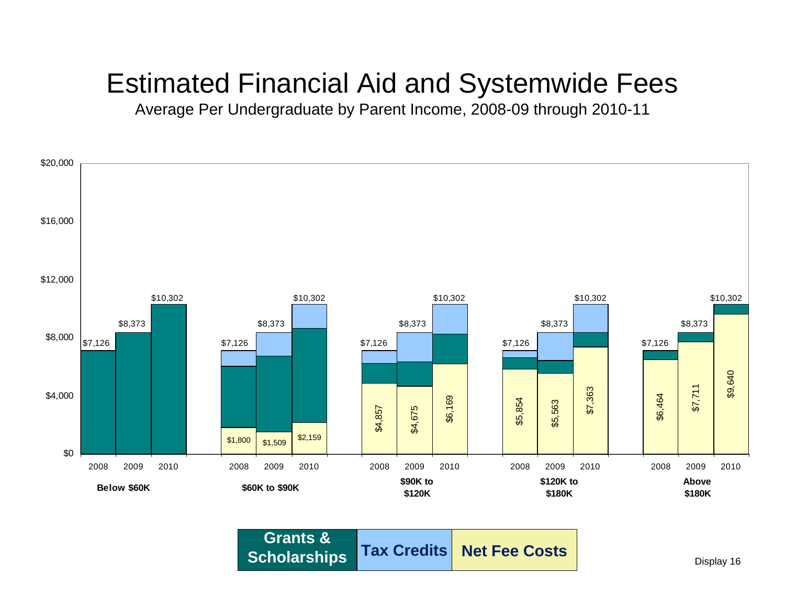#### Estimated Financial Aid and Systemwide Fees

Average Per Undergraduate by Parent Income, 2008-09 through 2010-11



**Tax Credits Net Fee CostsGrants & Scholarships**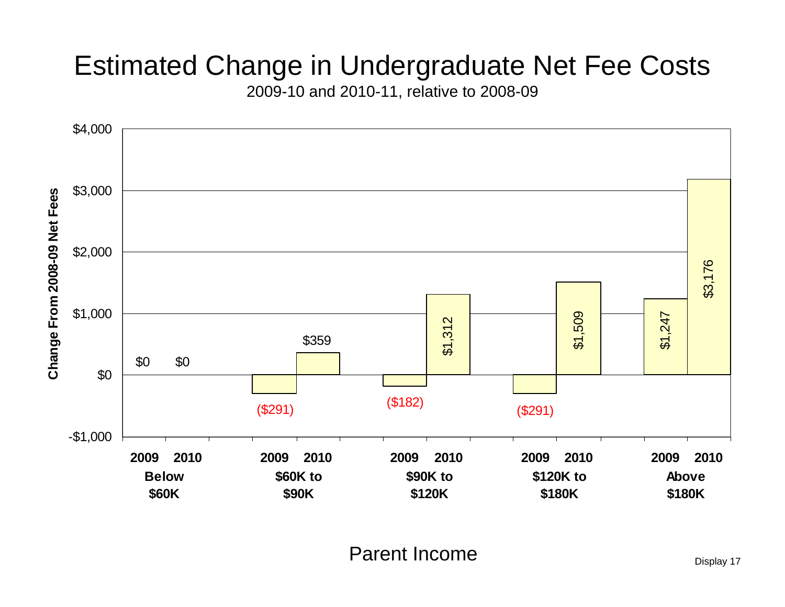#### Estimated Change in Undergraduate Net Fee Costs

2009-10 and 2010-11, relative to 2008-09



Parent Income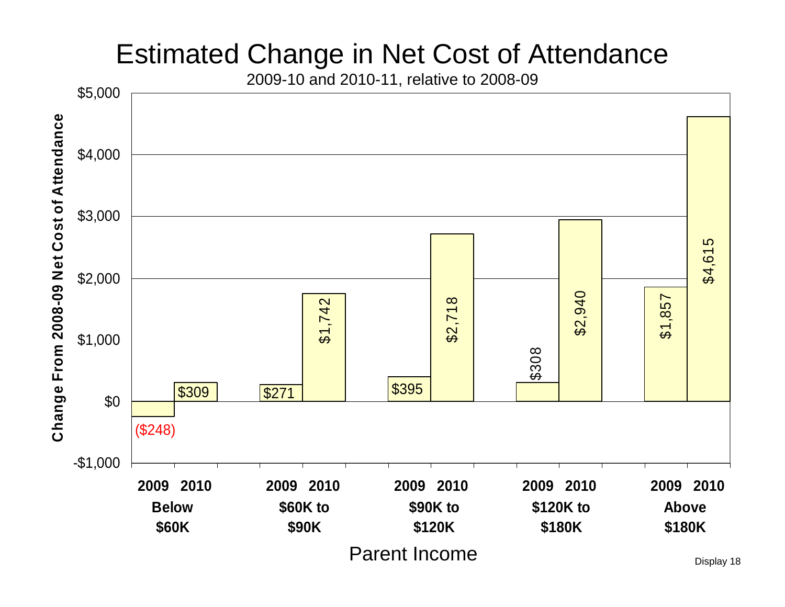#### Estimated Change in Net Cost of Attendance

2009-10 and 2010-11, relative to 2008-09